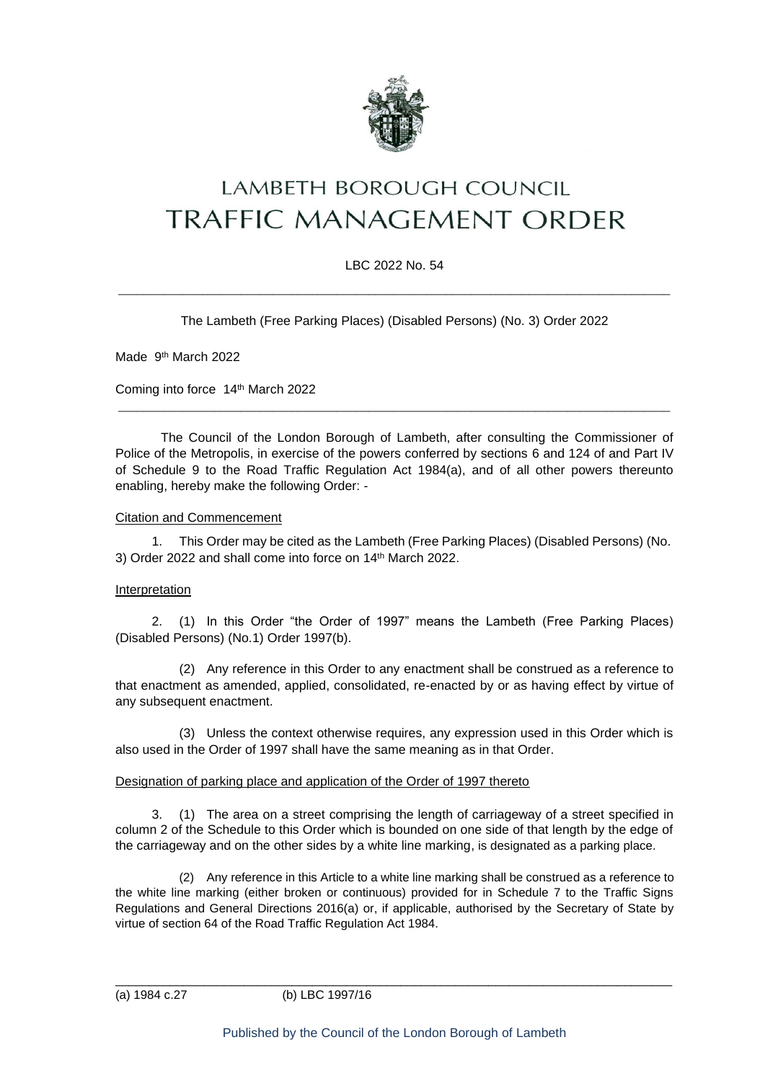

# **LAMBETH BOROUGH COUNCIL** TRAFFIC MANAGEMENT ORDER

### LBC 2022 No. 54

\_\_\_\_\_\_\_\_\_\_\_\_\_\_\_\_\_\_\_\_\_\_\_\_\_\_\_\_\_\_\_\_\_\_\_\_\_\_\_\_\_\_\_\_\_\_\_\_\_\_\_\_\_\_\_\_\_\_\_\_\_\_\_\_\_\_\_\_\_\_\_\_\_\_\_\_\_\_\_\_\_\_\_\_\_\_

The Lambeth (Free Parking Places) (Disabled Persons) (No. 3) Order 2022

Made 9<sup>th</sup> March 2022

Coming into force 14th March 2022

The Council of the London Borough of Lambeth, after consulting the Commissioner of Police of the Metropolis, in exercise of the powers conferred by sections 6 and 124 of and Part IV of Schedule 9 to the Road Traffic Regulation Act 1984(a), and of all other powers thereunto enabling, hereby make the following Order: -

\_\_\_\_\_\_\_\_\_\_\_\_\_\_\_\_\_\_\_\_\_\_\_\_\_\_\_\_\_\_\_\_\_\_\_\_\_\_\_\_\_\_\_\_\_\_\_\_\_\_\_\_\_\_\_\_\_\_\_\_\_\_\_\_\_\_\_\_\_\_\_\_\_\_\_\_\_\_\_\_\_\_\_\_\_\_

#### Citation and Commencement

1. This Order may be cited as the Lambeth (Free Parking Places) (Disabled Persons) (No. 3) Order 2022 and shall come into force on 14th March 2022.

#### Interpretation

2. (1) In this Order "the Order of 1997" means the Lambeth (Free Parking Places) (Disabled Persons) (No.1) Order 1997(b).

(2) Any reference in this Order to any enactment shall be construed as a reference to that enactment as amended, applied, consolidated, re-enacted by or as having effect by virtue of any subsequent enactment.

(3) Unless the context otherwise requires, any expression used in this Order which is also used in the Order of 1997 shall have the same meaning as in that Order.

#### Designation of parking place and application of the Order of 1997 thereto

3. (1) The area on a street comprising the length of carriageway of a street specified in column 2 of the Schedule to this Order which is bounded on one side of that length by the edge of the carriageway and on the other sides by a white line marking, is designated as a parking place.

(2) Any reference in this Article to a white line marking shall be construed as a reference to the white line marking (either broken or continuous) provided for in Schedule 7 to the Traffic Signs Regulations and General Directions 2016(a) or, if applicable, authorised by the Secretary of State by virtue of section 64 of the Road Traffic Regulation Act 1984.

\_\_\_\_\_\_\_\_\_\_\_\_\_\_\_\_\_\_\_\_\_\_\_\_\_\_\_\_\_\_\_\_\_\_\_\_\_\_\_\_\_\_\_\_\_\_\_\_\_\_\_\_\_\_\_\_\_\_\_\_\_\_\_\_\_\_\_\_\_\_\_\_\_\_\_\_\_\_\_\_\_\_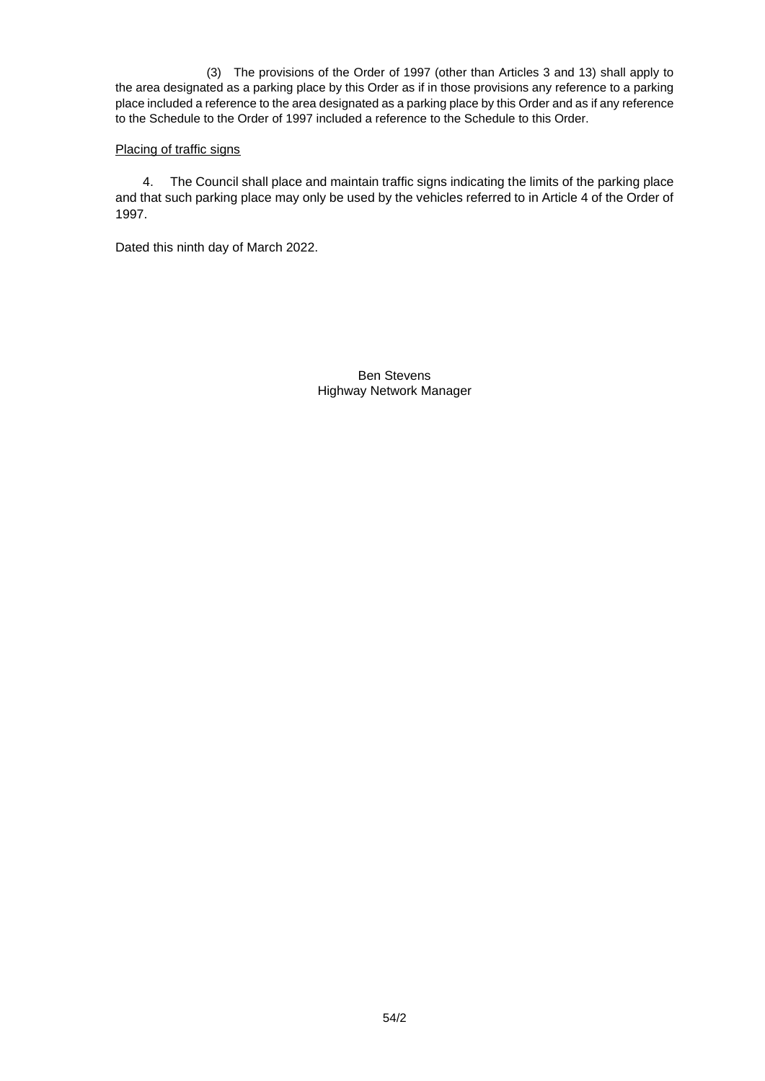(3) The provisions of the Order of 1997 (other than Articles 3 and 13) shall apply to the area designated as a parking place by this Order as if in those provisions any reference to a parking place included a reference to the area designated as a parking place by this Order and as if any reference to the Schedule to the Order of 1997 included a reference to the Schedule to this Order.

#### Placing of traffic signs

4. The Council shall place and maintain traffic signs indicating the limits of the parking place and that such parking place may only be used by the vehicles referred to in Article 4 of the Order of 1997.

Dated this ninth day of March 2022.

Ben Stevens Highway Network Manager